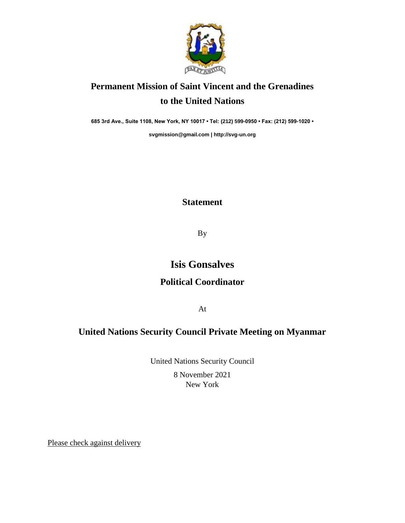

# **Permanent Mission of Saint Vincent and the Grenadines to the United Nations**

**685 3rd Ave., Suite 1108, New York, NY 10017 • Tel: (212) 599-0950 • Fax: (212) 599-1020 •** 

**[svgmission@gmail.com](mailto:svgmission@gmail.com) [| http://svg-un.org](http://svg-un.org/)**

#### **Statement**

By

## **Isis Gonsalves**

### **Political Coordinator**

At

### **United Nations Security Council Private Meeting on Myanmar**

United Nations Security Council 8 November 2021 New York

Please check against delivery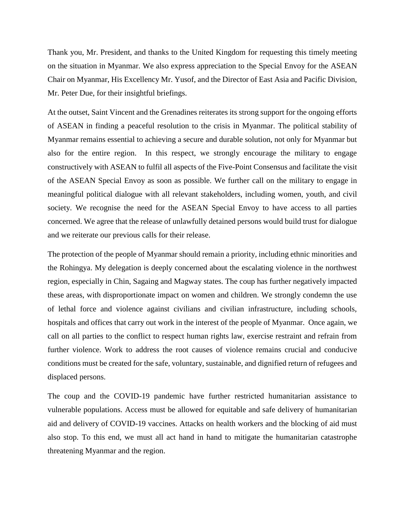Thank you, Mr. President, and thanks to the United Kingdom for requesting this timely meeting on the situation in Myanmar. We also express appreciation to the Special Envoy for the ASEAN Chair on Myanmar, His Excellency Mr. Yusof, and the Director of East Asia and Pacific Division, Mr. Peter Due, for their insightful briefings.

At the outset, Saint Vincent and the Grenadines reiterates its strong support for the ongoing efforts of ASEAN in finding a peaceful resolution to the crisis in Myanmar. The political stability of Myanmar remains essential to achieving a secure and durable solution, not only for Myanmar but also for the entire region. In this respect, we strongly encourage the military to engage constructively with ASEAN to fulfil all aspects of the Five-Point Consensus and facilitate the visit of the ASEAN Special Envoy as soon as possible. We further call on the military to engage in meaningful political dialogue with all relevant stakeholders, including women, youth, and civil society. We recognise the need for the ASEAN Special Envoy to have access to all parties concerned. We agree that the release of unlawfully detained persons would build trust for dialogue and we reiterate our previous calls for their release.

The protection of the people of Myanmar should remain a priority, including ethnic minorities and the Rohingya. My delegation is deeply concerned about the escalating violence in the northwest region, especially in Chin, Sagaing and Magway states. The coup has further negatively impacted these areas, with disproportionate impact on women and children. We strongly condemn the use of lethal force and violence against civilians and civilian infrastructure, including schools, hospitals and offices that carry out work in the interest of the people of Myanmar. Once again, we call on all parties to the conflict to respect human rights law, exercise restraint and refrain from further violence. Work to address the root causes of violence remains crucial and conducive conditions must be created for the safe, voluntary, sustainable, and dignified return of refugees and displaced persons.

The coup and the COVID-19 pandemic have further restricted humanitarian assistance to vulnerable populations. Access must be allowed for equitable and safe delivery of humanitarian aid and delivery of COVID-19 vaccines. Attacks on health workers and the blocking of aid must also stop. To this end, we must all act hand in hand to mitigate the humanitarian catastrophe threatening Myanmar and the region.